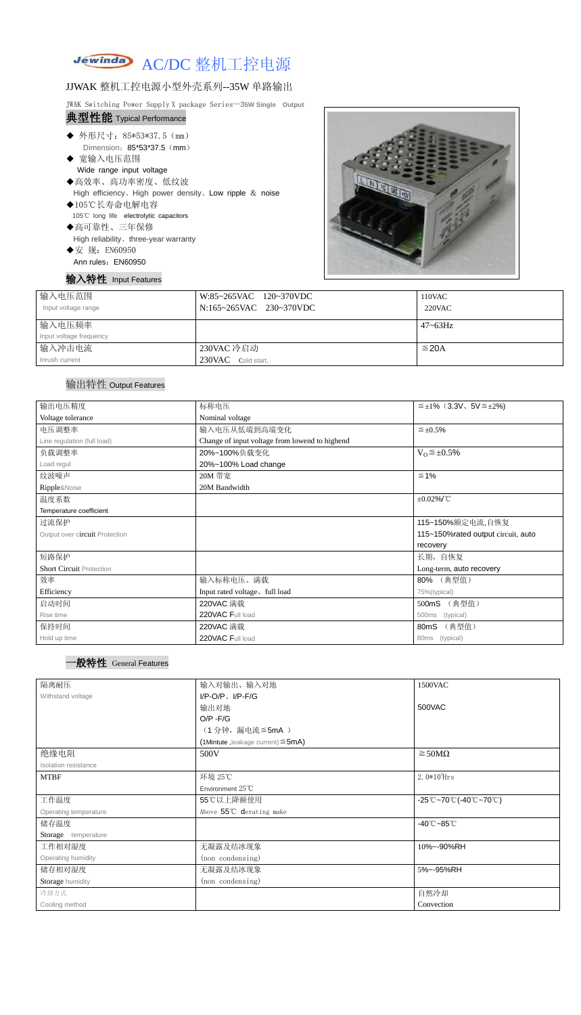### Jewinda AC/DC 整机工控电源

# JJWAK 整机工控电源小型外壳系列--35W 单路输出

JWAK Switching Power Supply X package Series--3**5W Single Output** 典型性能 Typical Performance

- ◆ 外形尺寸: 85\*53\*37.5 (mm) Dimension:85\*53\*37.5(mm)
- ◆ 宽输入电压范围 Wide range input voltage
- ◆高效率、高功率密度、低纹波 High efficiency、High power density、Low ripple & noise
- ◆105℃长寿命电解电容 105℃ long life electrolytic capacitors
- ◆高可靠性、三年保修 High reliability、three-year warranty
- ◆安 规: EN60950 Ann rules: EN60950

## 输入特性 Input Features



| 输入电压范围<br>Input voltage range | W:85~265VAC 120~370VDC<br>N:165~265VAC 230~370VDC | 110VAC<br>$220$ VAC |
|-------------------------------|---------------------------------------------------|---------------------|
| 输入电压频率                        |                                                   | $47 - 63$ Hz        |
| Input voltage frequency       |                                                   |                     |
| 输入冲击电流                        | 230VAC 冷启动                                        | $\leq$ 20A          |
| Inrush current                | 230VAC<br>Cold start,                             |                     |

## 输出特性 Output Features



| 输出电压精度                          | 标称电压                                           | $\leq \pm 1\%$ (3.3V, 5V $\leq \pm 2\%$ ) |  |
|---------------------------------|------------------------------------------------|-------------------------------------------|--|
| Voltage tolerance               | Nominal voltage                                |                                           |  |
| 电压调整率                           | 输入电压从低端到高端变化                                   | $\leq \pm 0.5\%$                          |  |
| Line regulation (full load)     | Change of input voltage from lowend to highend |                                           |  |
| 负载调整率                           | 20%~100%负载变化                                   | $V_0 \leq \pm 0.5\%$                      |  |
| Load regul                      | 20%~100% Load change                           |                                           |  |
| 纹波噪声                            | 20M 带宽                                         | $\leq 1\%$                                |  |
| Ripple&Noise                    | 20M Bandwidth                                  |                                           |  |
| 温度系数                            | $\pm 0.02\%$ /°C                               |                                           |  |
| Temperature coefficient         |                                                |                                           |  |
| 过流保护                            |                                                | 115~150%额定电流,自恢复                          |  |
| Output over circuit Protection  | 115~150% rated output circuit, auto            |                                           |  |
|                                 |                                                | recovery                                  |  |
| 短路保护                            |                                                | 长期, 自恢复                                   |  |
| <b>Short Circuit Protection</b> |                                                | Long-term, auto recovery                  |  |
| 效率                              | 输入标称电压、满载                                      | 80% (典型值)                                 |  |
| Efficiency                      | Input rated voltage, full load                 | 75%(typical)                              |  |
| 启动时间                            | 220VAC 满载                                      | (典型值)<br>500mS                            |  |
| Rise time                       | 220VAC Full load                               | (typical)<br>500ms                        |  |
| 保持时间                            | 220VAC 满载                                      | (典型值)<br>80mS                             |  |
| Hold up time                    | 220VAC Full load                               | 80ms (typical)                            |  |

| 隔离耐压                  | 输入对输出、输入对地<br>1500VAC                   |                                                                                       |  |  |
|-----------------------|-----------------------------------------|---------------------------------------------------------------------------------------|--|--|
| Withstand voltage     | $I/P-O/P$ , $I/P-F/G$                   |                                                                                       |  |  |
|                       | 输出对地                                    | 500VAC                                                                                |  |  |
|                       | $O/P - F/G$                             |                                                                                       |  |  |
|                       | (1分钟,漏电流 ≦5mA)                          |                                                                                       |  |  |
|                       | (1Mintute, leakage current) $\leq$ 5mA) |                                                                                       |  |  |
| 绝缘电阻                  | $\geq$ 50M $\Omega$<br>500V             |                                                                                       |  |  |
| Isolation resistance  |                                         |                                                                                       |  |  |
| <b>MTBF</b>           | 环境 25℃                                  | $2.0*105$ Hrs                                                                         |  |  |
|                       | Environment 25°C                        |                                                                                       |  |  |
| 工作温度                  | 55℃以上降额使用                               | $-25^{\circ}\text{C}-70^{\circ}\text{C}$ (-40 $^{\circ}\text{C}-70^{\circ}\text{C}$ ) |  |  |
| Operating temperature | Above 55°C derating make                |                                                                                       |  |  |
| 储存温度                  | $-40^{\circ}$ C $-85^{\circ}$ C         |                                                                                       |  |  |
| Storage temperature   |                                         |                                                                                       |  |  |
| 工作相对湿度                | 无凝露及结冰现象                                | 10%~-90%RH                                                                            |  |  |
| Operating humidity    | (non condensing)                        |                                                                                       |  |  |
| 储存相对湿度                | 无凝露及结冰现象                                | 5%~-95%RH                                                                             |  |  |
| Storage humidity      | (non condensing)                        |                                                                                       |  |  |
| 冷却方式                  |                                         | 自然冷却                                                                                  |  |  |
| Cooling method        |                                         | Convection                                                                            |  |  |